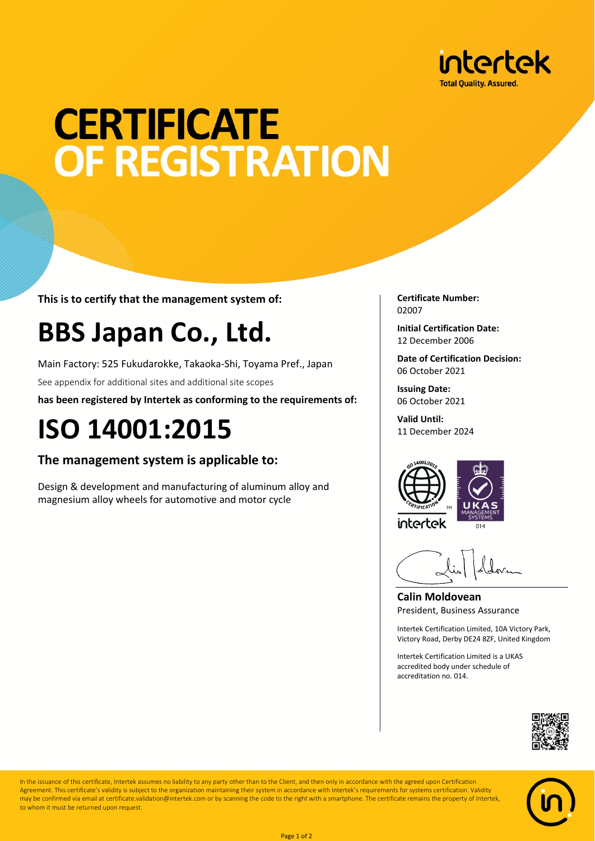

# **CERTIFICATE** OF REGISTRATION

**This is to certify that the management system of:**

### **BBS Japan Co., Ltd.**

Main Factory: 525 Fukudarokke, Takaoka-Shi, Toyama Pref., Japan

See appendix for additional sites and additional site scopes

**has been registered by Intertek as conforming to the requirements of:**

### **ISO 14001:2015**

### **The management system is applicable to:**

Design & development and manufacturing of aluminum alloy and magnesium alloy wheels for automotive and motor cycle

**Certificate Number:** 02007

**Initial Certification Date:** 12 December 2006

**Date of Certification Decision:** 06 October 2021

**Issuing Date:** 06 October 2021

**Valid Until:** 11 December 2024



**Calin Moldovean** President, Business Assurance

Intertek Certification Limited, 10A Victory Park, Victory Road, Derby DE24 8ZF, United Kingdom

Intertek Certification Limited is a UKAS accredited body under schedule of accreditation no. 014.





In the issuance of this certificate, Intertek assumes no liability to any party other than to the Client, and then only in accordance with the agreed upon Certification Agreement. This certificate's validity is subject to the organization maintaining their system in accordance with Intertek's requirements for systems certification. Validity may be confirmed via email at certificate.validation@intertek.com or by scanning the code to the right with a smartphone. The certificate remains the property of Intertek, to whom it must be returned upon request.